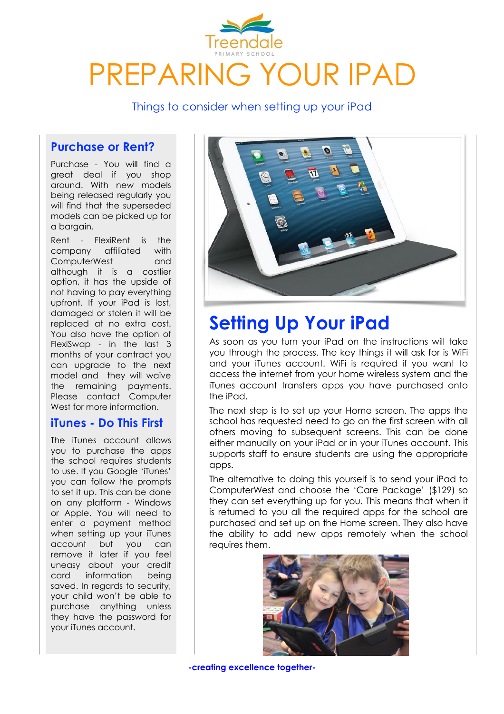

Things to consider when setting up your iPad

## **Purchase or Rent?**

Purchase - You will find a great deal if you shop around. With new models being released regularly you will find that the superseded models can be picked up for a bargain.

Rent - FlexiRent is the company affiliated with ComputerWest and although it is a costlier option, it has the upside of not having to pay everything upfront. If your iPad is lost, damaged or stolen it will be replaced at no extra cost. You also have the option of FlexiSwap - in the last 3 months of your contract you can upgrade to the next model and they will waive the remaining payments. Please contact Computer West for more information.

## **iTunes - Do This First**

The iTunes account allows you to purchase the apps the school requires students to use. If you Google 'iTunes' you can follow the prompts to set it up. This can be done on any platform - Windows or Apple. You will need to enter a payment method when setting up your iTunes account but you can remove it later if you feel uneasy about your credit card information being saved. In regards to security, your child won't be able to purchase anything unless they have the password for your iTunes account.



# **Setting Up Your iPad**

As soon as you turn your iPad on the instructions will take you through the process. The key things it will ask for is WiFi and your iTunes account. WiFi is required if you want to access the internet from your home wireless system and the iTunes account transfers apps you have purchased onto the iPad.

The next step is to set up your Home screen. The apps the school has requested need to go on the first screen with all others moving to subsequent screens. This can be done either manually on your iPad or in your iTunes account. This supports staff to ensure students are using the appropriate apps.

The alternative to doing this yourself is to send your iPad to ComputerWest and choose the 'Care Package' (\$129) so they can set everything up for you. This means that when it is returned to you all the required apps for the school are purchased and set up on the Home screen. They also have the ability to add new apps remotely when the school requires them.



**-creating excellence together-**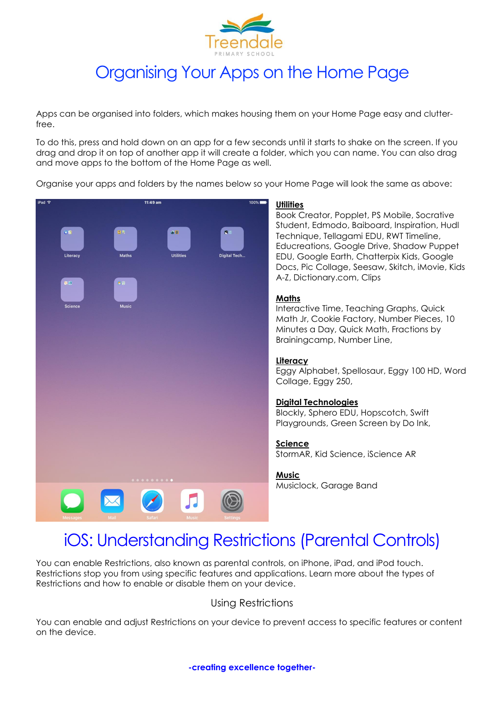

# Organising Your Apps on the Home Page

Apps can be organised into folders, which makes housing them on your Home Page easy and clutterfree.

To do this, press and hold down on an app for a few seconds until it starts to shake on the screen. If you drag and drop it on top of another app it will create a folder, which you can name. You can also drag and move apps to the bottom of the Home Page as well.

Organise your apps and folders by the names below so your Home Page will look the same as above:



## iOS: Understanding Restrictions (Parental Controls)

You can enable Restrictions, also known as parental controls, on iPhone, iPad, and iPod touch. Restrictions stop you from using specific features and applications. Learn more about the types of Restrictions and how to enable or disable them on your device.

### Using Restrictions

You can enable and adjust Restrictions on your device to prevent access to specific features or content on the device.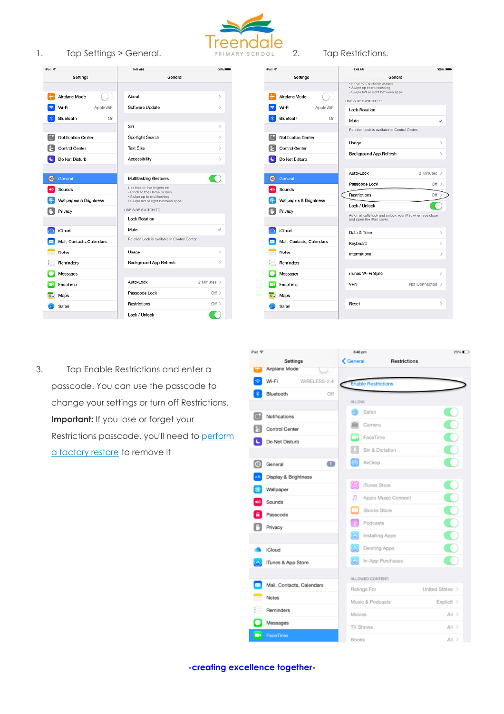

 $\overline{ }$ 

 $\overline{ }$ 

 $\overline{\phantom{a}}$ 

 $\overline{\phantom{a}}$ 

 $\overline{\phantom{a}}$ 

U

 $\ddot{\phantom{1}}$ 

 $\,$ 

iPad **全** 

1. Tap Settings > General. PRIMARY SCHOOL 2. Tap Restrictions.



9:41 AM Settings General

|         | Airplane Mode             | . Pinch to the Home Screen<br>· Swipe up to multitasking<br>· Swipe left or right between apps |                 |               |
|---------|---------------------------|------------------------------------------------------------------------------------------------|-----------------|---------------|
|         |                           | USE SIDE SWITCH TO:                                                                            |                 |               |
|         | Wi-Fi<br>AppleWiFi        | <b>Lock Rotation</b>                                                                           |                 |               |
|         | Bluetooth<br>On           | Mute                                                                                           |                 | ✓             |
|         |                           | Rotation Lock is available in Control Center.                                                  |                 |               |
|         | Notification Center       | Usage                                                                                          |                 | $\mathcal{P}$ |
|         | Control Center            | Background App Refresh                                                                         |                 | $\mathcal{P}$ |
|         | Do Not Disturb            |                                                                                                |                 |               |
|         |                           | Auto-Lock                                                                                      | 2 Minutes >     |               |
| $\circ$ | General                   |                                                                                                |                 |               |
| ◀⇒      | Sounds                    | Passcode Lock                                                                                  | $Off$ >         |               |
|         | Wallpapers & Brightness   | Restrictions                                                                                   | $Off$ >         |               |
|         |                           | Lock / Unlock                                                                                  |                 |               |
|         |                           |                                                                                                |                 |               |
|         | Privacy                   | Automatically lock and unlock your iPad when you close<br>and open the iPad cover.             |                 |               |
|         |                           |                                                                                                |                 |               |
|         | iCloud                    | Date & Time                                                                                    |                 | $\,>\,$       |
|         | Mail, Contacts, Calendars | Keyboard                                                                                       |                 | $\mathcal{P}$ |
|         | <b>Notes</b>              | International                                                                                  |                 | $\mathcal{P}$ |
|         | <b>Reminders</b>          |                                                                                                |                 |               |
|         | Messages                  | iTunes Wi-Fi Sync                                                                              |                 | ⋋             |
|         | FaceTime                  | <b>VPN</b>                                                                                     | Not Connected > |               |
|         | Maps                      |                                                                                                |                 |               |
|         | Safari                    | Reset                                                                                          |                 | ⋋             |

3. Tap Enable Restrictions and enter a passcode. You can use the passcode to change your settings or turn off Restrictions. **Important:** If you lose or forget your Restrictions passcode, you'll need to [perform](http://support.apple.com/kb/HT1414) a [factory](http://support.apple.com/kb/HT1414) restore to remove it



**-creating excellence together-**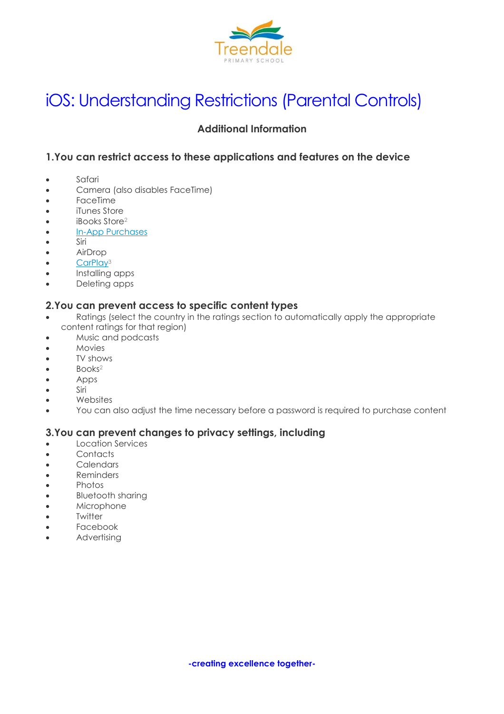

# iOS: Understanding Restrictions (Parental Controls)

## **Additional Information**

## **1.You can restrict access to these applications and features on the device**

- Safari
- Camera (also disables FaceTime)
- FaceTime
- iTunes Store
- iBooks Store<sup>2</sup>
- In-App [Purchases](http://support.apple.com/kb/ht6088)
- Siri
- AirDrop
- $\bullet$  [CarPlay](http://www.apple.com/ios/carplay/)<sup>3</sup>
- Installing apps
- Deleting apps

### **2.You can prevent access to specific content types**

- Ratings (select the country in the ratings section to automatically apply the appropriate content ratings for that region)
- Music and podcasts
- Movies
- TV shows
- Books<sup>2</sup>
- Apps
- Siri
- Websites
- You can also adjust the time necessary before a password is required to purchase content

### **3.You can prevent changes to privacy settings, including**

- Location Services
- Contacts
- Calendars
- Reminders
- Photos
- Bluetooth sharing
- Microphone
- Twitter
- Facebook
- Advertising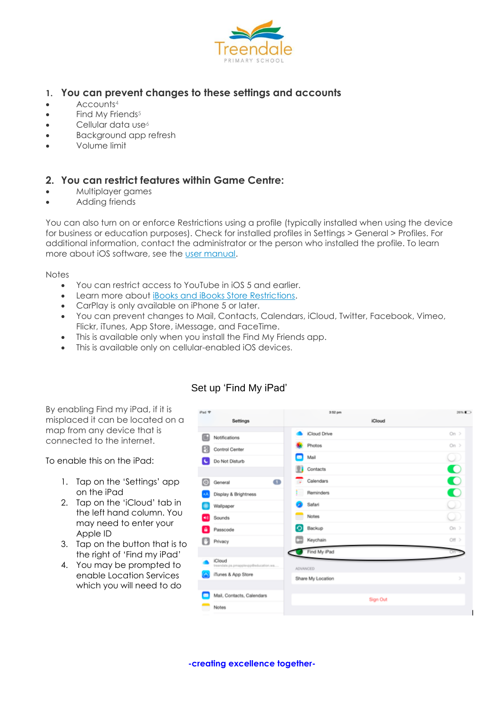

### **1. You can prevent changes to these settings and accounts**

- $\bullet$  Accounts<sup>4</sup>
- $\bullet$  Find My Friends<sup>5</sup>
- $\bullet$  Cellular data use<sup>6</sup>
- Background app refresh
- Volume limit

#### **2. You can restrict features within Game Centre:**

- Multiplayer games
- Adding friends

You can also turn on or enforce Restrictions using a profile (typically installed when using the device for business or education purposes). Check for installed profiles in Settings > General > Profiles. For additional information, contact the administrator or the person who installed the profile. To learn more about iOS software, see the user [manual.](http://support.apple.com/manuals/)

**Notes** 

- You can restrict access to YouTube in iOS 5 and earlier.
- Learn more about [iBooks and iBooks Store Restrictions.](http://support.apple.com/kb/HT5492)
- CarPlay is only available on iPhone 5 or later.
- You can prevent changes to Mail, Contacts, Calendars, iCloud, Twitter, Facebook, Vimeo, Flickr, iTunes, App Store, iMessage, and FaceTime.
- This is available only when you install the Find My Friends app.
- This is available only on cellular-enabled iOS devices.

By enabling Find my iPad, if it is misplaced it can be located on a map from any device that is connected to the internet.

To enable this on the iPad:

- 1. Tap on the 'Settings' app on the iPad
- 2. Tap on the 'iCloud' tab in the left hand column. You may need to enter your Apple ID
- 3. Tap on the button that is to the right of 'Find my iPad'
- 4. You may be prompted to enable Location Services which you will need to do



## Set up 'Find My iPad'